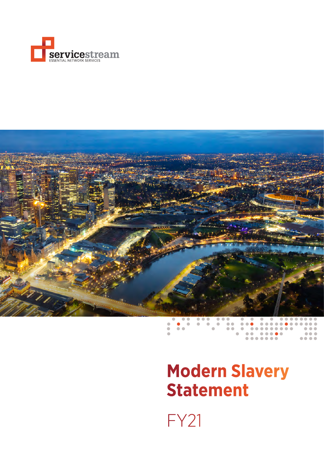



# **Modern Slavery Statement**

.......

 $\bullet\bullet\bullet\bullet$ 

FY21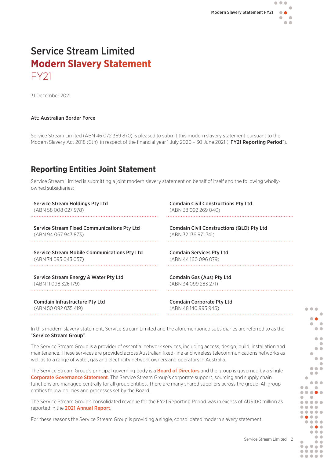# Service Stream Limited **Modern Slavery Statement**  FY21

31 December 2021

#### Att: Australian Border Force

Service Stream Limited (ABN 46 072 369 870) is pleased to submit this modern slavery statement pursuant to the Modern Slavery Act 2018 (Cth) in respect of the financial year 1 July 2020 - 30 June 2021 ("FY21 Reporting Period").

## **Reporting Entities Joint Statement**

Service Stream Limited is submitting a joint modern slavery statement on behalf of itself and the following whollyowned subsidiaries:

| <b>Service Stream Holdings Pty Ltd</b>              | <b>Comdain Civil Constructions Pty Ltd</b>       |
|-----------------------------------------------------|--------------------------------------------------|
| (ABN 58 008 027 978)                                | (ABN 38 092 269 040)                             |
| <b>Service Stream Fixed Communications Pty Ltd</b>  | <b>Comdain Civil Constructions (QLD) Pty Ltd</b> |
| (ABN 94 067 943 873)                                | (ABN 32136 971 741)                              |
| <b>Service Stream Mobile Communications Pty Ltd</b> | <b>Comdain Services Pty Ltd</b>                  |
| (ABN 74 095 043 057)                                | (ABN 44160096079)                                |
| Service Stream Energy & Water Pty Ltd               | Comdain Gas (Aus) Pty Ltd                        |
| (ABN 11 098 326 179)                                | (ABN 34 099 283 271)                             |
| <b>Comdain Infrastructure Pty Ltd</b>               | <b>Comdain Corporate Pty Ltd</b>                 |
| (ABN 50 092 035 419)                                | (ABN 48140995946)                                |
|                                                     |                                                  |

In this modern slavery statement, Service Stream Limited and the aforementioned subsidiaries are referred to as the "Service Stream Group".

The Service Stream Group is a provider of essential network services, including access, design, build, installation and maintenance. These services are provided across Australian fixed-line and wireless telecommunications networks as well as to a range of water, gas and electricity network owners and operators in Australia.

The Service Stream Group's principal governing body is a **[Board of Directors](https://www.servicestream.com.au/about/board-of-directors)** and the group is governed by a single [Corporate Governance Statement](https://cms.servicestream.com.au/assets/images/Service_Stream_Corporate_Governance_Statement_2021.pdf). The Service Stream Group's corporate support, sourcing and supply chain functions are managed centrally for all group entities. There are many shared suppliers across the group. All group entities follow policies and processes set by the Board.

The Service Stream Group's consolidated revenue for the FY21 Reporting Period was in excess of AU\$100 million as reported in the [2021 Annual Report](https://cms.servicestream.com.au/assets/images/Service_Stream_Annual_Report_2021.pdf).

For these reasons the Service Stream Group is providing a single, consolidated modern slavery statement.

 $\bullet$   $\bullet$   $\bullet$ 

 $\bullet$  $\bullet$  $\begin{array}{c} \begin{array}{c} \begin{array}{c} \begin{array}{c} \end{array} \end{array} \end{array} \end{array}$  $\sim$  $\bullet\bullet$  $\bullet$  $\blacksquare$  $\bullet$  $\bullet$  $\bullet$  $\triangle$  $\bullet\bullet\bullet$  $\bullet$  $\bullet$ 

 $\bullet\bullet\bullet$ 

 $\bullet$  $\bullet$  $\bullet\bullet\bullet\bullet\bullet$  $\bullet$  $\bullet$  $\bullet\bullet\bullet\bullet\bullet$ .... ..... ....  $\bullet\bullet\bullet\bullet$  $\bullet\bullet\bullet$  $\bullet$   $\bullet$   $\bullet$  $\bullet$  $\bullet\bullet$ .....  $\bullet\bullet\bullet\bullet\bullet$  $\bullet\bullet\bullet\bullet\bullet$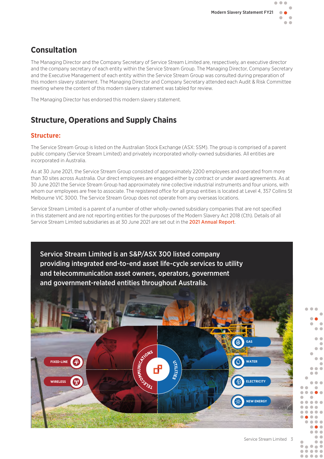# **Consultation**

The Managing Director and the Company Secretary of Service Stream Limited are, respectively, an executive director and the company secretary of each entity within the Service Stream Group. The Managing Director, Company Secretary and the Executive Management of each entity within the Service Stream Group was consulted during preparation of this modern slavery statement. The Managing Director and Company Secretary attended each Audit & Risk Committee meeting where the content of this modern slavery statement was tabled for review.

The Managing Director has endorsed this modern slavery statement.

# **Structure, Operations and Supply Chains**

#### **Structure:**

The Service Stream Group is listed on the Australian Stock Exchange (ASX: SSM). The group is comprised of a parent public company (Service Stream Limited) and privately incorporated wholly-owned subsidiaries. All entities are incorporated in Australia.

As at 30 June 2021, the Service Stream Group consisted of approximately 2200 employees and operated from more than 30 sites across Australia. Our direct employees are engaged either by contract or under award agreements. As at 30 June 2021 the Service Stream Group had approximately nine collective industrial instruments and four unions, with whom our employees are free to associate. The registered office for all group entities is located at Level 4, 357 Collins St Melbourne VIC 3000. The Service Stream Group does not operate from any overseas locations.

Service Stream Limited is a parent of a number of other wholly-owned subsidiary companies that are not specified in this statement and are not reporting entities for the purposes of the Modern Slavery Act 2018 (Cth). Details of all Service Stream Limited subsidiaries as at 30 June 2021 are set out in the [2021 Annual Report](https://cms.servicestream.com.au/assets/images/Service_Stream_Annual_Report_2021.pdf).



 $\blacksquare$  $\sqrt{2}$ 

 $\sqrt{2}$ 

 $\bullet$  $\bullet$ 

 $• • •$ ..... .....

 $\blacksquare$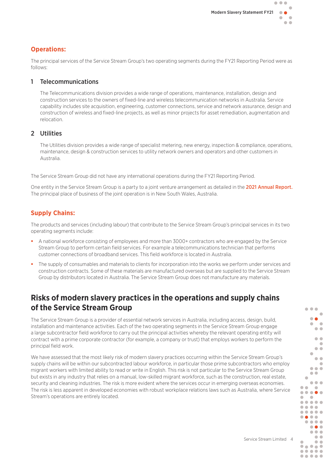#### **Operations:**

The principal services of the Service Stream Group's two operating segments during the FY21 Reporting Period were as follows:

#### 1 Telecommunications

The Telecommunications division provides a wide range of operations, maintenance, installation, design and construction services to the owners of fixed-line and wireless telecommunication networks in Australia. Service capability includes site acquisition, engineering, customer connections, service and network assurance, design and construction of wireless and fixed-line projects, as well as minor projects for asset remediation, augmentation and relocation.

#### 2 Utilities

The Utilities division provides a wide range of specialist metering, new energy, inspection & compliance, operations, maintenance, design & construction services to utility network owners and operators and other customers in Australia.

The Service Stream Group did not have any international operations during the FY21 Reporting Period.

One entity in the Service Stream Group is a party to a joint venture arrangement as detailed in the [2021 Annual Report](https://cms.servicestream.com.au/assets/images/Service_Stream_Annual_Report_2021.pdf). The principal place of business of the joint operation is in New South Wales, Australia.

#### **Supply Chains:**

The products and services (including labour) that contribute to the Service Stream Group's principal services in its two operating segments include:

- A national workforce consisting of employees and more than 3000+ contractors who are engaged by the Service Stream Group to perform certain field services. For example a telecommunications technician that performs customer connections of broadband services. This field workforce is located in Australia.
- The supply of consumables and materials to clients for incorporation into the works we perform under services and construction contracts. Some of these materials are manufactured overseas but are supplied to the Service Stream Group by distributors located in Australia. The Service Stream Group does not manufacture any materials.

## **Risks of modern slavery practices in the operations and supply chains of the Service Stream Group**

The Service Stream Group is a provider of essential network services in Australia, including access, design, build, installation and maintenance activities. Each of the two operating segments in the Service Stream Group engage a large subcontractor field workforce to carry out the principal activities whereby the relevant operating entity will contract with a prime corporate contractor (for example, a company or trust) that employs workers to perform the principal field work.

We have assessed that the most likely risk of modern slavery practices occurring within the Service Stream Group's supply chains will be within our subcontracted labour workforce, in particular those prime subcontractors who employ migrant workers with limited ability to read or write in English. This risk is not particular to the Service Stream Group but exists in any industry that relies on a manual, low-skilled migrant workforce, such as the construction, real estate, security and cleaning industries. The risk is more evident where the services occur in emerging overseas economies. The risk is less apparent in developed economies with robust workplace relations laws such as Australia, where Service Stream's operations are entirely located.



 $\bullet$   $\bullet$   $\bullet$  $\overline{a}$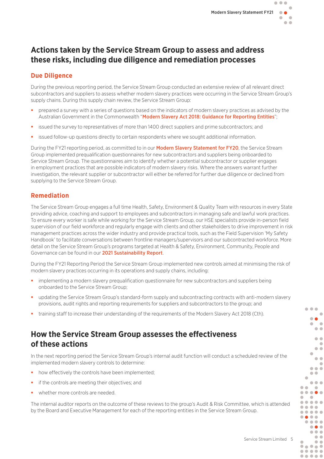## **Actions taken by the Service Stream Group to assess and address these risks, including due diligence and remediation processes**

#### **Due Diligence**

During the previous reporting period, the Service Stream Group conducted an extensive review of all relevant direct subcontractors and suppliers to assess whether modern slavery practices were occurring in the Service Stream Group's supply chains. During this supply chain review, the Service Stream Group:

- prepared a survey with a series of questions based on the indicators of modern slavery practices as advised by the Australian Government in the Commonwealth "[Modern Slavery Act 2018: Guidance for Reporting Entities](https://respect.international/wp-content/uploads/2020/01/Commonwealth-Modern-Slavery-Act-2018-Guidance-for-Reporting-Entities.pdf)":
- issued the survey to representatives of more than 1400 direct suppliers and prime subcontractors; and
- issued follow-up questions directly to certain respondents where we sought additional information.

During the FY21 reporting period, as committed to in our **[Modern Slavery Statement for FY20](https://cms.servicestream.com.au/assets/images/Service-Stream-Modern-Slavery-Statement-2020.pdf)**, the Service Stream Group implemented prequalification questionnaires for new subcontractors and suppliers being onboarded to Service Stream Group. The questionnaires aim to identify whether a potential subcontractor or supplier engages in employment practices that are possible indicators of modern slavery risks. Where the answers warrant further investigation, the relevant supplier or subcontractor will either be referred for further due diligence or declined from supplying to the Service Stream Group.

#### **Remediation**

The Service Stream Group engages a full time Health, Safety, Environment & Quality Team with resources in every State providing advice, coaching and support to employees and subcontractors in managing safe and lawful work practices. To ensure every worker is safe while working for the Service Stream Group, our HSE specialists provide in-person field supervision of our field workforce and regularly engage with clients and other stakeholders to drive improvement in risk management practices across the wider industry and provide practical tools, such as the Field Supervision 'My Safety Handbook' to facilitate conversations between frontline managers/supervisors and our subcontracted workforce. More detail on the Service Stream Group's programs targeted at Health & Safety, Environment, Community, People and Governance can be found in our [2021 Sustainability Report](https://cms.servicestream.com.au/assets/images/Service_Stream_2021_Sustainability_Report.pdf).

During the FY21 Reporting Period the Service Stream Group implemented new controls aimed at minimising the risk of modern slavery practices occurring in its operations and supply chains, including:

- implementing a modern slavery prequalification questionnaire for new subcontractors and suppliers being onboarded to the Service Stream Group;
- updating the Service Stream Group's standard-form supply and subcontracting contracts with anti-modern slavery provisions, audit rights and reporting requirements for suppliers and subcontractors to the group; and
- training staff to increase their understanding of the requirements of the Modern Slavery Act 2018 (Cth).

## **How the Service Stream Group assesses the effectiveness of these actions**

In the next reporting period the Service Stream Group's internal audit function will conduct a scheduled review of the implemented modern slavery controls to determine:

- how effectively the controls have been implemented;
- **i** if the controls are meeting their objectives; and
- whether more controls are needed.

The internal auditor reports on the outcome of these reviews to the group's Audit & Risk Committee, which is attended by the Board and Executive Management for each of the reporting entities in the Service Stream Group.



 $\bullet$   $\bullet$   $\bullet$  $\overline{a}$  $\bullet$  $\blacksquare$  $\rightarrow$  $\bullet$  $\bullet$  $\blacksquare$  $\bullet$  $\bullet$  $\bullet$  $\blacksquare$  $\bullet\bullet\bullet$  $\bullet$  $\bullet$ 

 $\bullet\bullet\bullet$ 

 $\bullet$  $\bullet\bullet\bullet\bullet\bullet$  $\blacksquare$  $\sim$  $\bullet\bullet\bullet\bullet\bullet$ .... ..... ....  $\bullet\bullet\bullet\bullet$  $\bullet\bullet\bullet$  $\bullet\bullet\bullet$  $\bullet$  $\bullet\bullet$ ..... .....  $\bullet\bullet\bullet\bullet\bullet$ 

 $\bullet$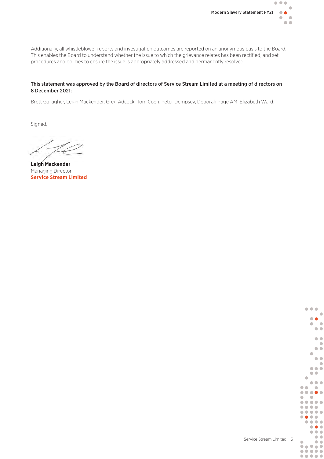

Additionally, all whistleblower reports and investigation outcomes are reported on an anonymous basis to the Board. This enables the Board to understand whether the issue to which the grievance relates has been rectified, and set procedures and policies to ensure the issue is appropriately addressed and permanently resolved.

#### This statement was approved by the Board of directors of Service Stream Limited at a meeting of directors on 8 December 2021:

Brett Gallagher, Leigh Mackender, Greg Adcock, Tom Coen, Peter Dempsey, Deborah Page AM, Elizabeth Ward.

Signed,

**Leigh Mackender**  Managing Director **Service Stream Limited**